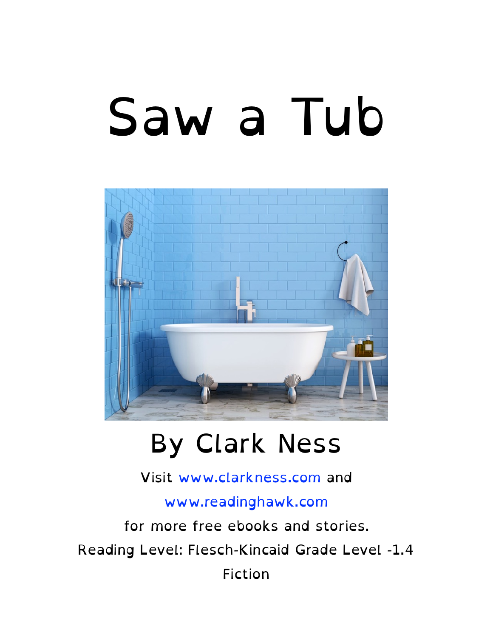# Saw a Tub



#### By Clark Ness

Visit [www.clarkness.com](http://www.clarkness.com) and

[www.readinghawk.com](http://www.readinghawk.com)

for more free ebooks and stories. Reading Level: Flesch-Kincaid Grade Level -1.4 Fiction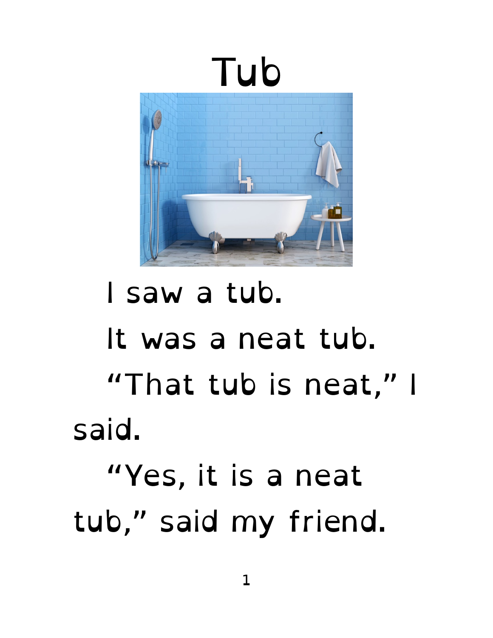

#### I saw a tub. It was a neat tub. "That tub is neat," I said. "Yes, it is a neat tub," said my friend.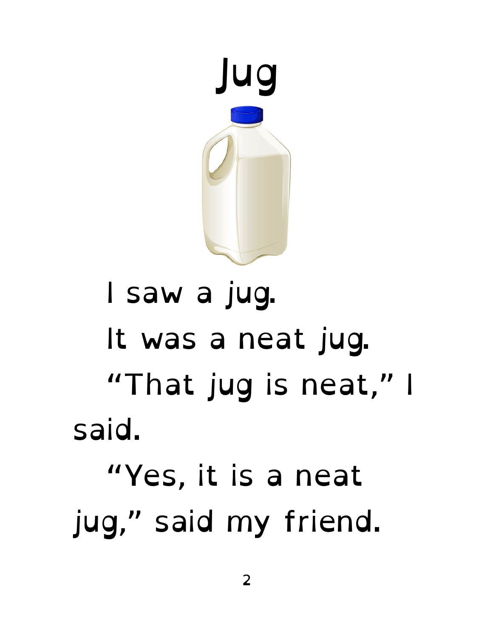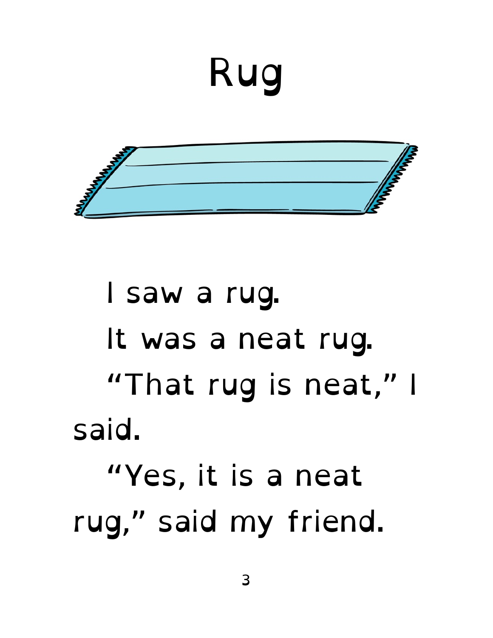# Rug



## I saw a rug. It was a neat rug. "That rug is neat," I said. "Yes, it is a neat rug," said my friend.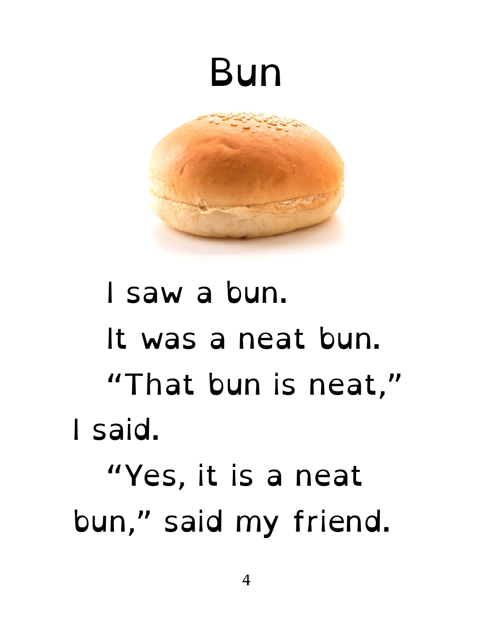#### Bun



## I saw a bun. It was a neat bun. "That bun is neat," I said. "Yes, it is a neat bun," said my friend.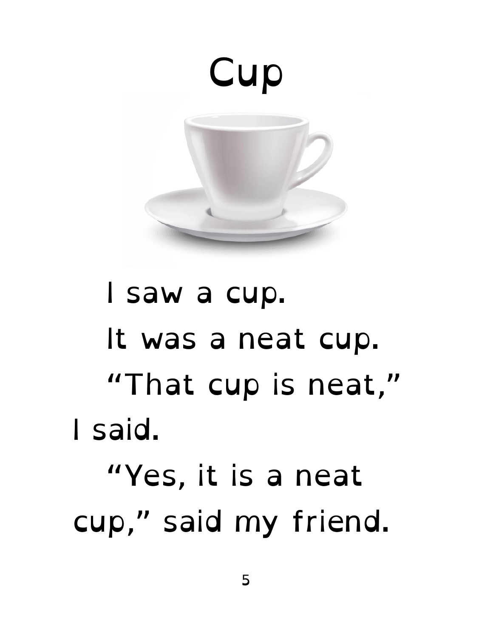

## I saw a cup. It was a neat cup. "That cup is neat," I said. "Yes, it is a neat cup," said my friend.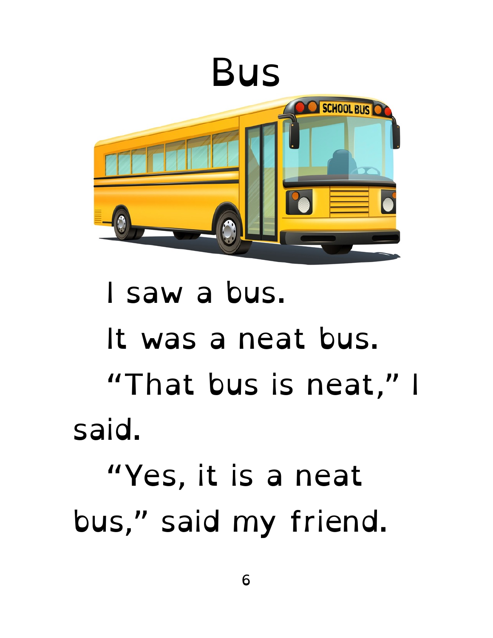

#### I saw a bus. It was a neat bus. "That bus is neat," I said. "Yes, it is a neat bus," said my friend.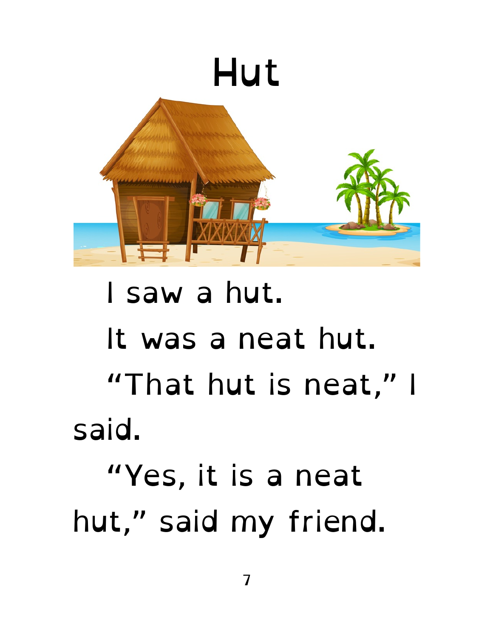

#### I saw a hut. It was a neat hut. "That hut is neat," I said. "Yes, it is a neat hut," said my friend.